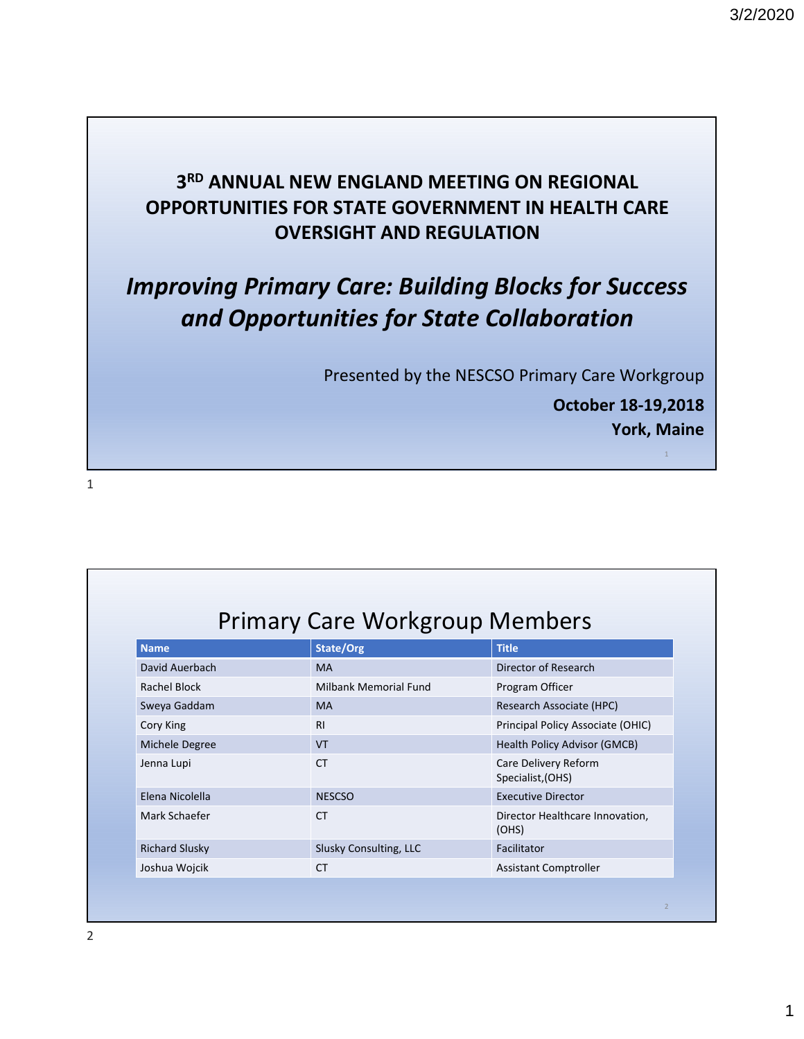#### **3RD ANNUAL NEW ENGLAND MEETING ON REGIONAL OPPORTUNITIES FOR STATE GOVERNMENT IN HEALTH CARE OVERSIGHT AND REGULATION**

# *Improving Primary Care: Building Blocks for Success and Opportunities for State Collaboration*

Presented by the NESCSO Primary Care Workgroup

**October 18‐19,2018 York, Maine**

1

1

| <b>Name</b>           | State/Org              | <b>Title</b>                              |
|-----------------------|------------------------|-------------------------------------------|
| David Auerbach        | <b>MA</b>              | Director of Research                      |
| Rachel Block          | Milbank Memorial Fund  | Program Officer                           |
| Sweya Gaddam          | <b>MA</b>              | Research Associate (HPC)                  |
| Cory King             | <b>RI</b>              | Principal Policy Associate (OHIC)         |
| Michele Degree        | <b>VT</b>              | Health Policy Advisor (GMCB)              |
| Jenna Lupi            | <b>CT</b>              | Care Delivery Reform<br>Specialist, (OHS) |
| Elena Nicolella       | <b>NESCSO</b>          | <b>Executive Director</b>                 |
| Mark Schaefer         | <b>CT</b>              | Director Healthcare Innovation,<br>(OHS)  |
| <b>Richard Slusky</b> | Slusky Consulting, LLC | Facilitator                               |
| Joshua Wojcik         | <b>CT</b>              | Assistant Comptroller                     |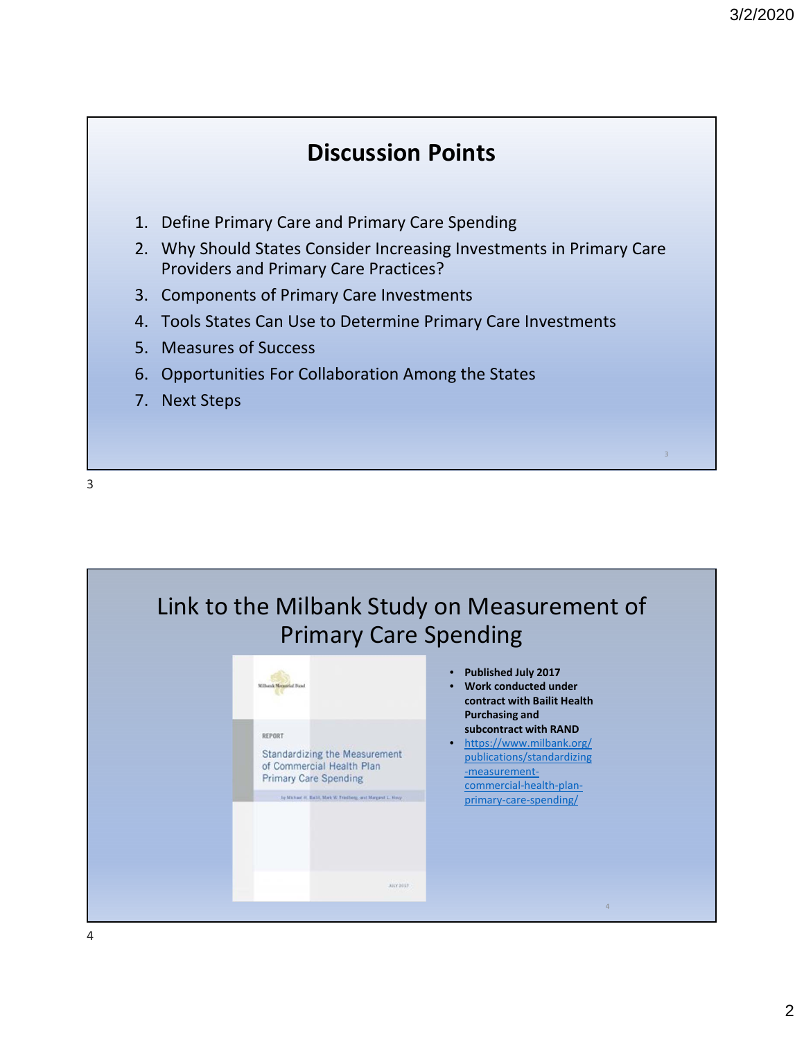#### **Discussion Points**

- 1. Define Primary Care and Primary Care Spending
- 2. Why Should States Consider Increasing Investments in Primary Care Providers and Primary Care Practices?
- 3. Components of Primary Care Investments
- 4. Tools States Can Use to Determine Primary Care Investments
- 5. Measures of Success
- 6. Opportunities For Collaboration Among the States
- 7. Next Steps

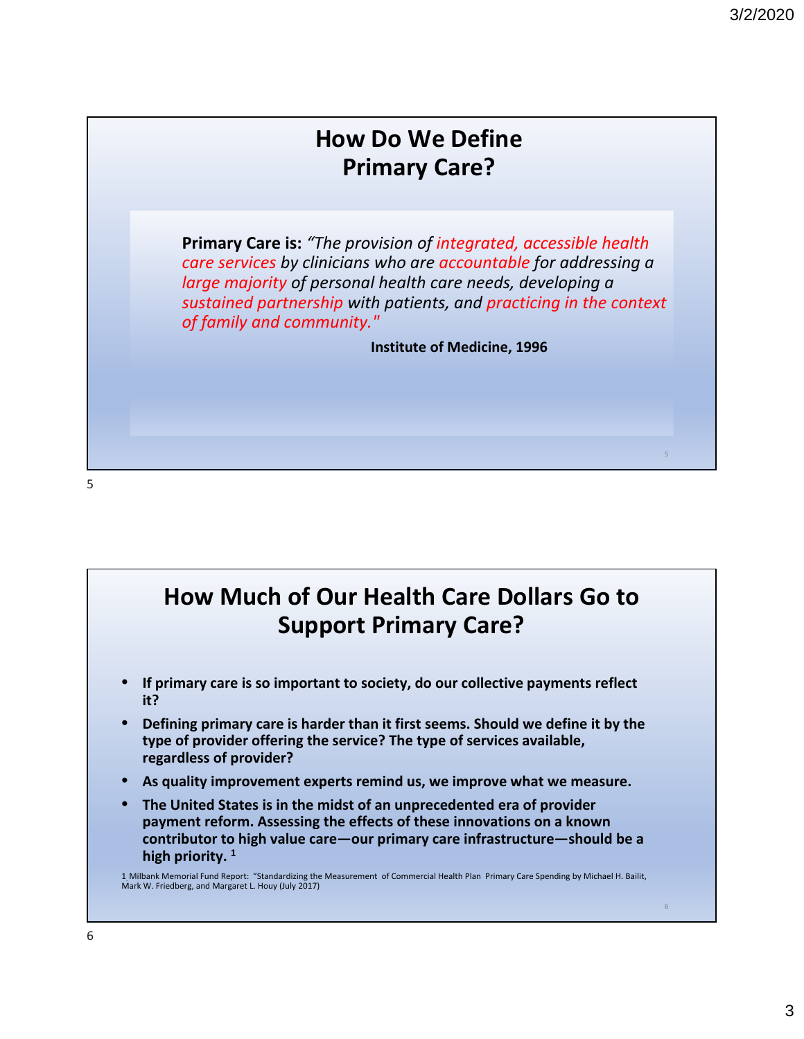6

### **How Do We Define Primary Care?**

**Primary Care is:** *"The provision of integrated, accessible health care services by clinicians who are accountable for addressing a large majority of personal health care needs, developing a sustained partnership with patients, and practicing in the context of family and community."*

**Institute of Medicine, 1996**

5

### **How Much of Our Health Care Dollars Go to Support Primary Care?**

- **If primary care is so important to society, do our collective payments reflect it?**
- **Defining primary care is harder than it first seems. Should we define it by the type of provider offering the service? The type of services available, regardless of provider?**
- **As quality improvement experts remind us, we improve what we measure.**
- **The United States is in the midst of an unprecedented era of provider payment reform. Assessing the effects of these innovations on a known contributor to high value care—our primary care infrastructure—should be a high priority. <sup>1</sup>**

1. Milbank Memorial Fund Report: "Standardizing the Measurement of Commercial Health Plan Primary Care Spending by Michael H. Bailit, Mark W. Friedberg, and Margaret L. Houy (July 2017)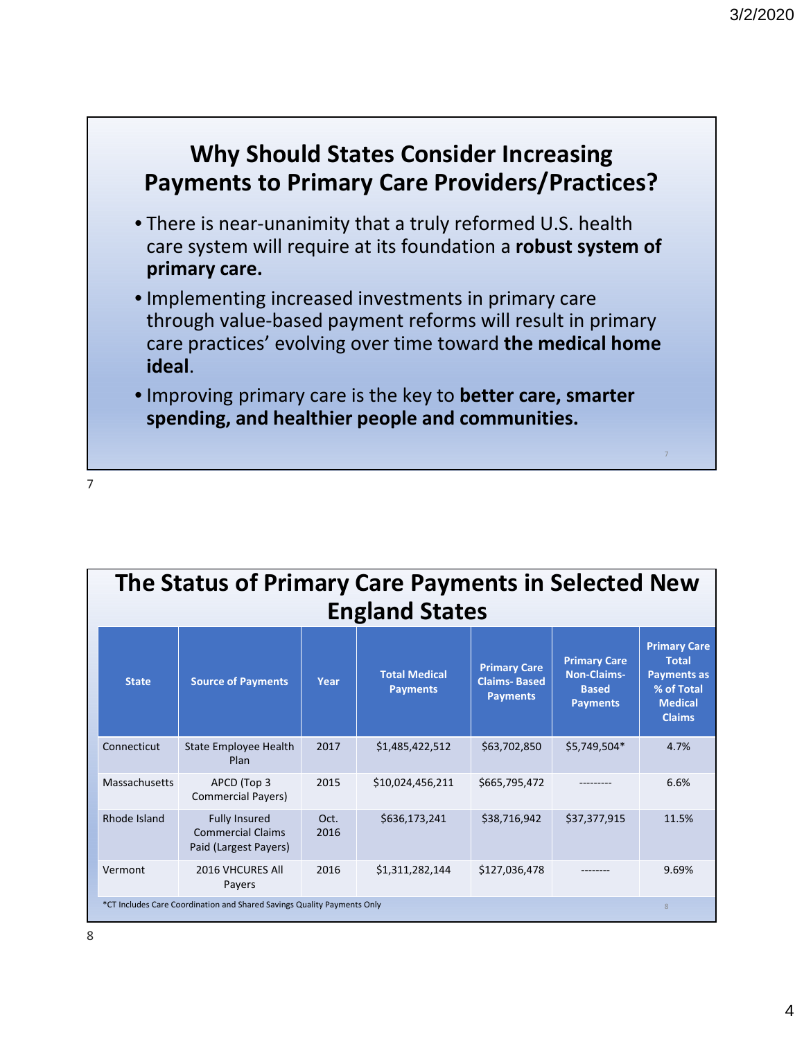

|               | The Status of Primary Care Payments in Selected New<br><b>England States</b> |              |                                         |                                                               |                                                                              |                                                                                                            |  |  |  |  |
|---------------|------------------------------------------------------------------------------|--------------|-----------------------------------------|---------------------------------------------------------------|------------------------------------------------------------------------------|------------------------------------------------------------------------------------------------------------|--|--|--|--|
| <b>State</b>  | <b>Source of Payments</b>                                                    | Year         | <b>Total Medical</b><br><b>Payments</b> | <b>Primary Care</b><br><b>Claims-Based</b><br><b>Payments</b> | <b>Primary Care</b><br><b>Non-Claims-</b><br><b>Based</b><br><b>Payments</b> | <b>Primary Care</b><br><b>Total</b><br><b>Payments as</b><br>% of Total<br><b>Medical</b><br><b>Claims</b> |  |  |  |  |
| Connecticut   | State Employee Health<br><b>Plan</b>                                         | 2017         | \$1,485,422,512                         | \$63,702,850                                                  | \$5,749,504*                                                                 | 4.7%                                                                                                       |  |  |  |  |
| Massachusetts | APCD (Top 3<br><b>Commercial Payers)</b>                                     | 2015         | \$10,024,456,211                        | \$665,795,472                                                 |                                                                              | 6.6%                                                                                                       |  |  |  |  |
| Rhode Island  | <b>Fully Insured</b><br><b>Commercial Claims</b><br>Paid (Largest Payers)    | Oct.<br>2016 | \$636,173,241                           | \$38,716,942                                                  | \$37,377,915                                                                 | 11.5%                                                                                                      |  |  |  |  |
| Vermont       | 2016 VHCURES All<br>Payers                                                   | 2016         | \$1,311,282,144                         | \$127,036,478                                                 |                                                                              | 9.69%                                                                                                      |  |  |  |  |
|               | *CT Includes Care Coordination and Shared Savings Quality Payments Only      |              |                                         |                                                               |                                                                              | 8                                                                                                          |  |  |  |  |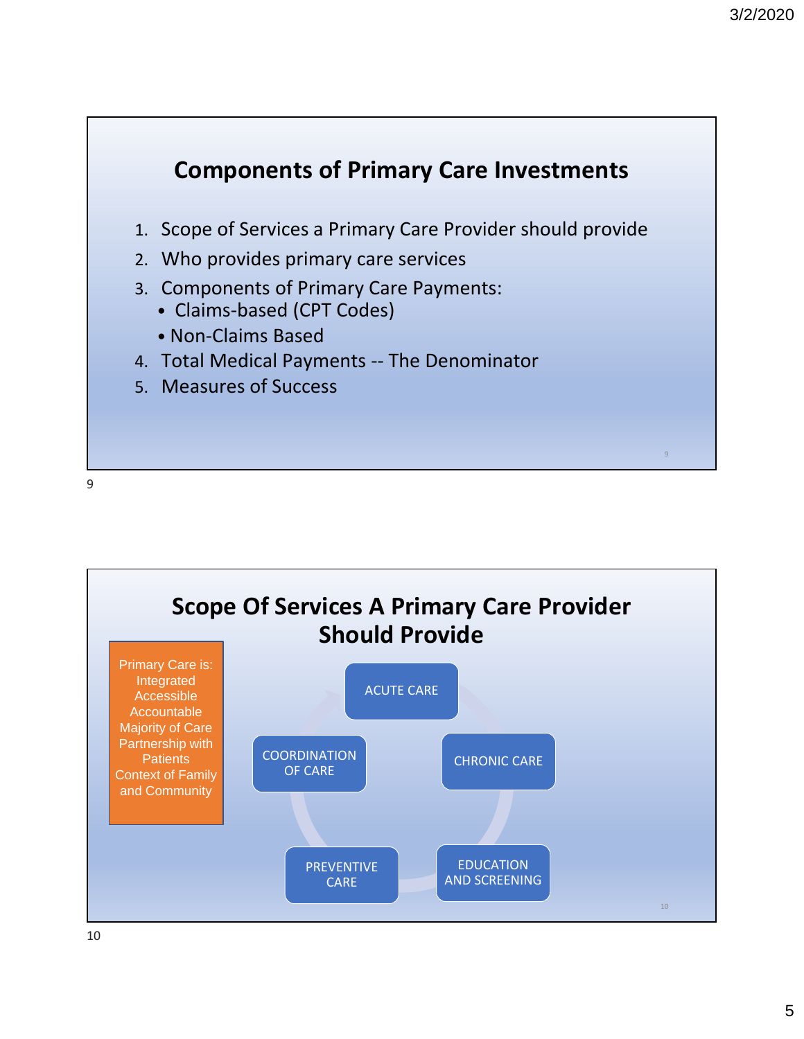



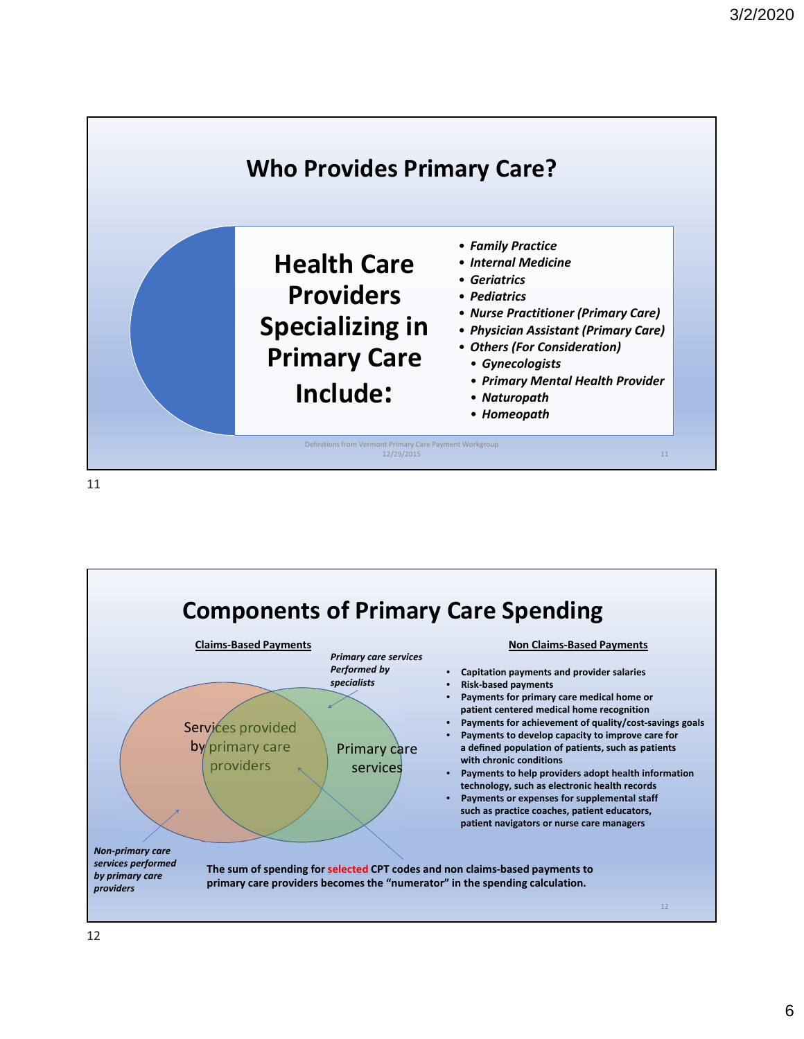

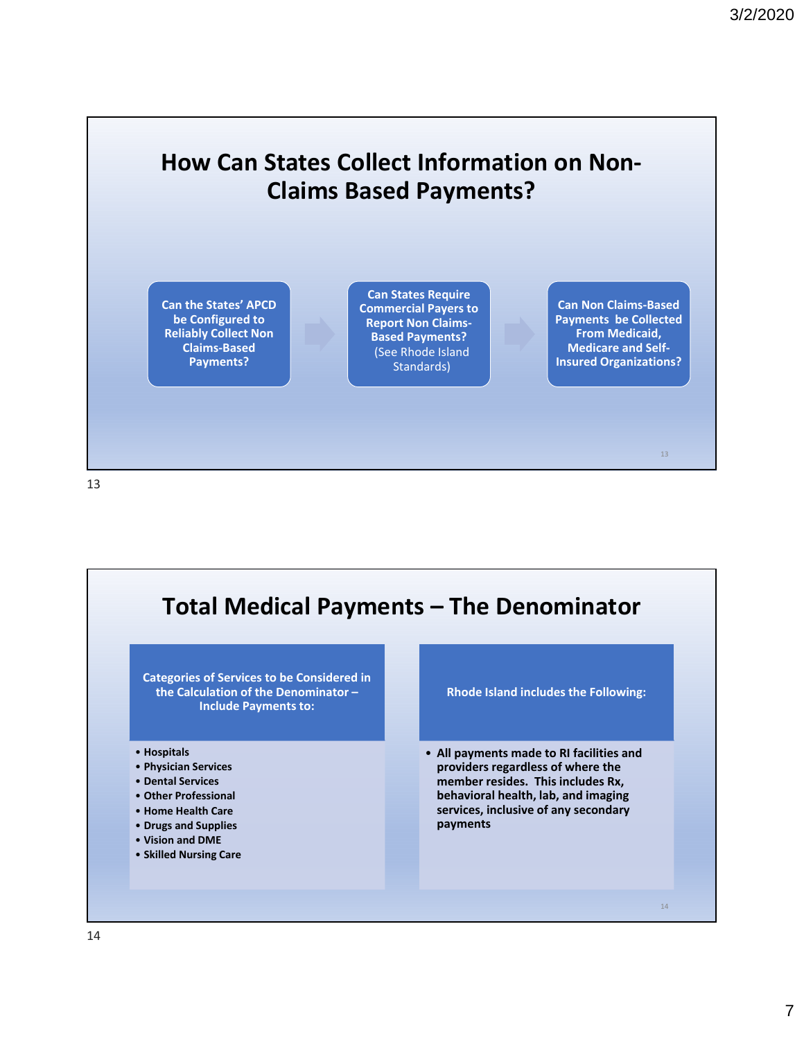#### **How Can States Collect Information on Non‐ Claims Based Payments?**

**Can the States' APCD be Configured to Reliably Collect Non Claims‐Based Payments?**

**Can States Require Commercial Payers to Report Non Claims‐ Based Payments?** (See Rhode Island Standards)

**Can Non Claims‐Based Payments be Collected From Medicaid, Medicare and Self‐ Insured Organizations?**

13

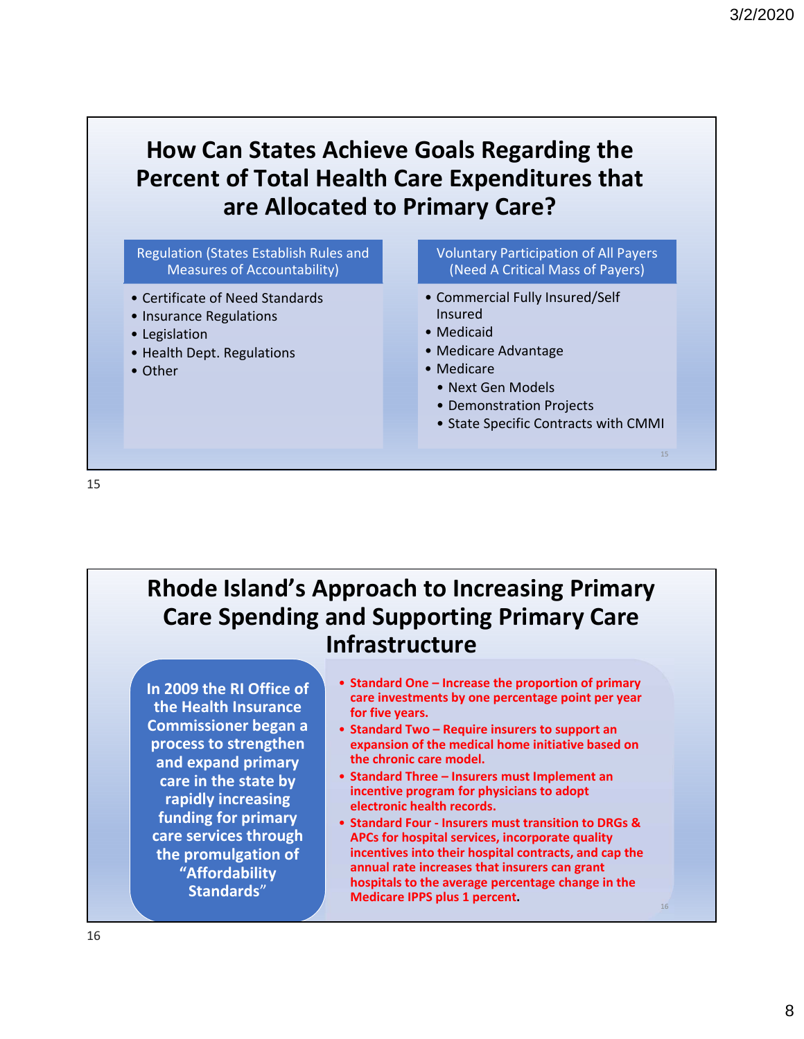## **How Can States Achieve Goals Regarding the Percent of Total Health Care Expenditures that are Allocated to Primary Care?**

Regulation (States Establish Rules and Measures of Accountability)

- Certificate of Need Standards
- Insurance Regulations
- Legislation
- Health Dept. Regulations
- Other

Voluntary Participation of All Payers (Need A Critical Mass of Payers)

- Commercial Fully Insured/Self Insured
- Medicaid
- Medicare Advantage
- Medicare
	- Next Gen Models
	- Demonstration Projects
	- State Specific Contracts with CMMI

15

16

15

### **Rhode Island's Approach to Increasing Primary Care Spending and Supporting Primary Care Infrastructure**

**In 2009 the RI Office of the Health Insurance Commissioner began a process to strengthen and expand primary care in the state by rapidly increasing funding for primary care services through the promulgation of "Affordability Standards**"

- **Standard One Increase the proportion of primary care investments by one percentage point per year for five years.**
- **Standard Two Require insurers to support an expansion of the medical home initiative based on the chronic care model.**
- **Standard Three Insurers must Implement an incentive program for physicians to adopt electronic health records.**
- **Standard Four ‐ Insurers must transition to DRGs & APCs for hospital services, incorporate quality incentives into their hospital contracts, and cap the annual rate increases that insurers can grant hospitals to the average percentage change in the Medicare IPPS plus 1 percent.**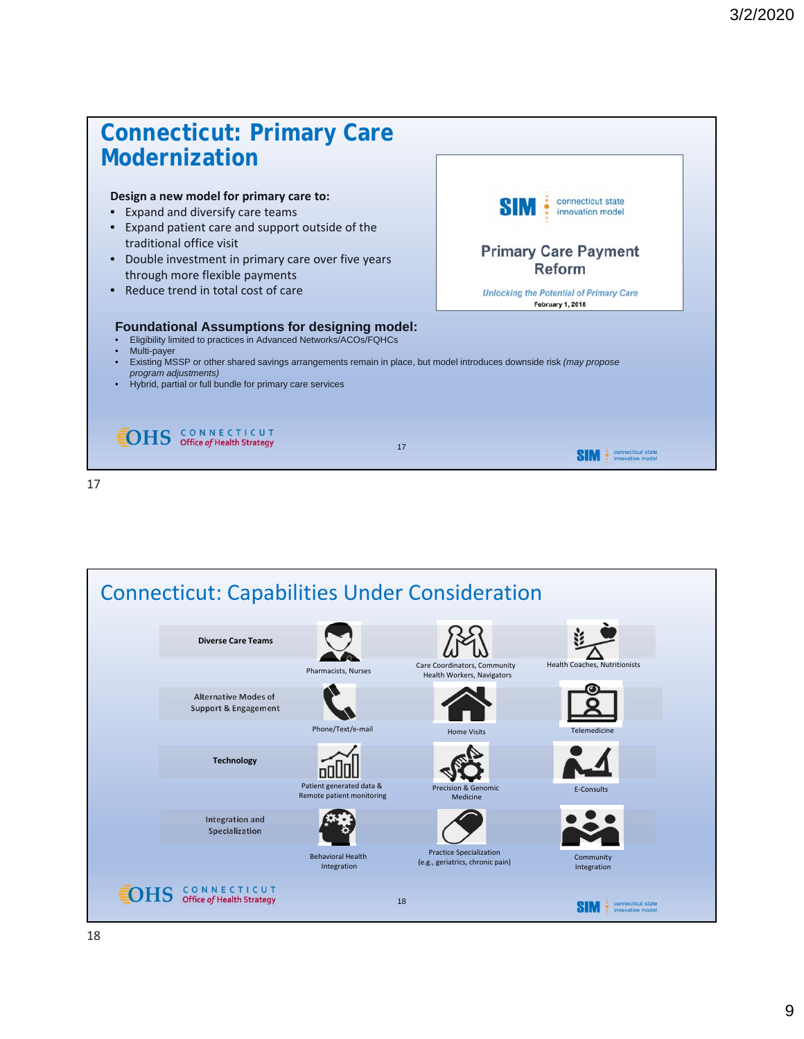

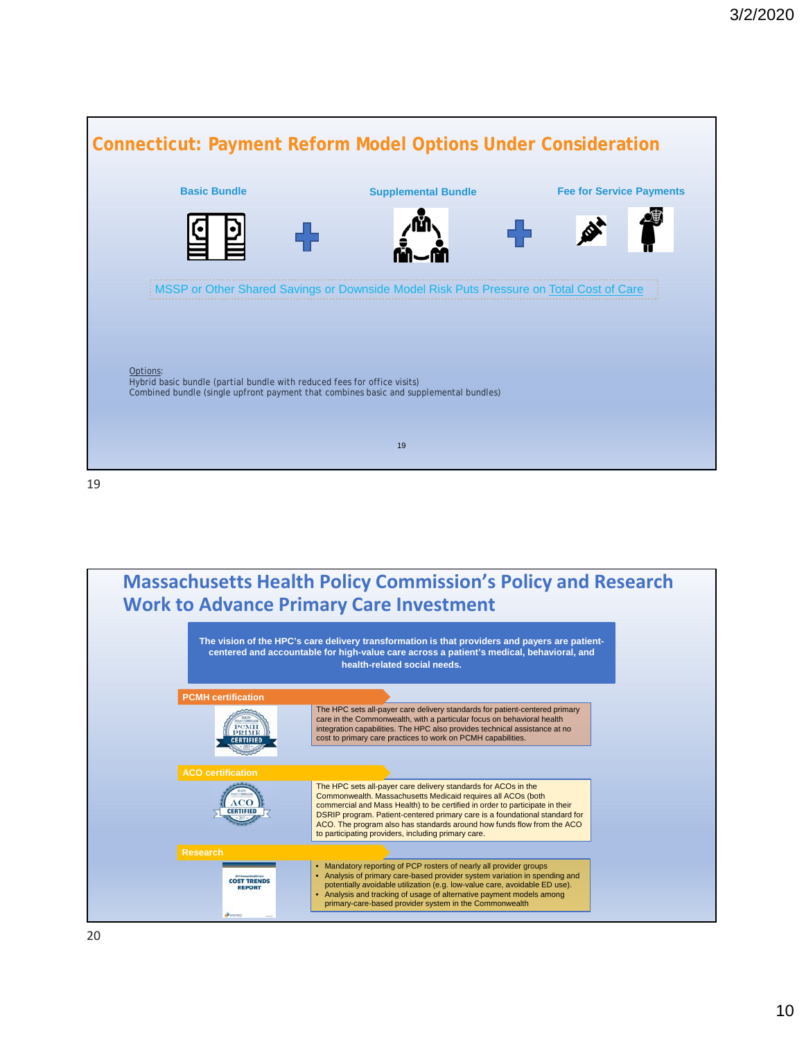

**Massachusetts Health Policy Commission's Policy and Research Work to Advance Primary Care Investment The vision of the HPC's care delivery transformation is that providers and payers are patientcentered and accountable for high-value care across a patient's medical, behavioral, and health-related social needs. PCMH certification** The HPC sets all-payer care delivery standards for patient-centered primary care in the Commonwealth, with a particular focus on behavioral health integration capabilities. The HPC also provides technical assistance at no cost to primary care practices to work on PCMH capabilities. **CERTIFIE ACO cer** The HPC sets all-payer care delivery standards for ACOs in the Commonwealth. Massachusetts Medicaid requires all ACOs (both  $\Omega$ commercial and Mass Health) to be certified in order to participate in their ERTIFIEI DSRIP program. Patient-centered primary care is a foundational standard for ACO. The program also has standards around how funds flow from the ACO to participating providers, including primary care. **Researc** • Mandatory reporting of PCP rosters of nearly all provider groups<br>• Analysis of primary care-based provider system variation in spen • Analysis of primary care-based provider system variation in spending and potentially avoidable utilization (e.g. low-value care, avoidable ED use). **COST TRENDS**<br>REPORT • Analysis and tracking of usage of alternative payment models among primary-care-based provider system in the Commonwealth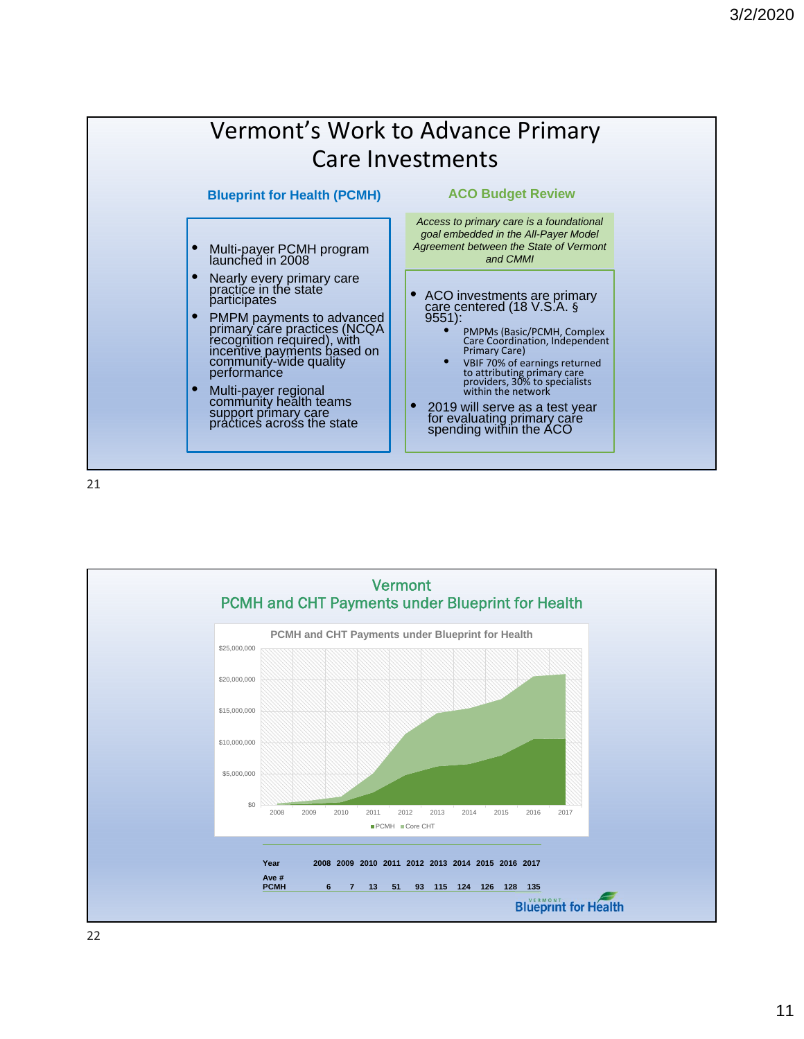

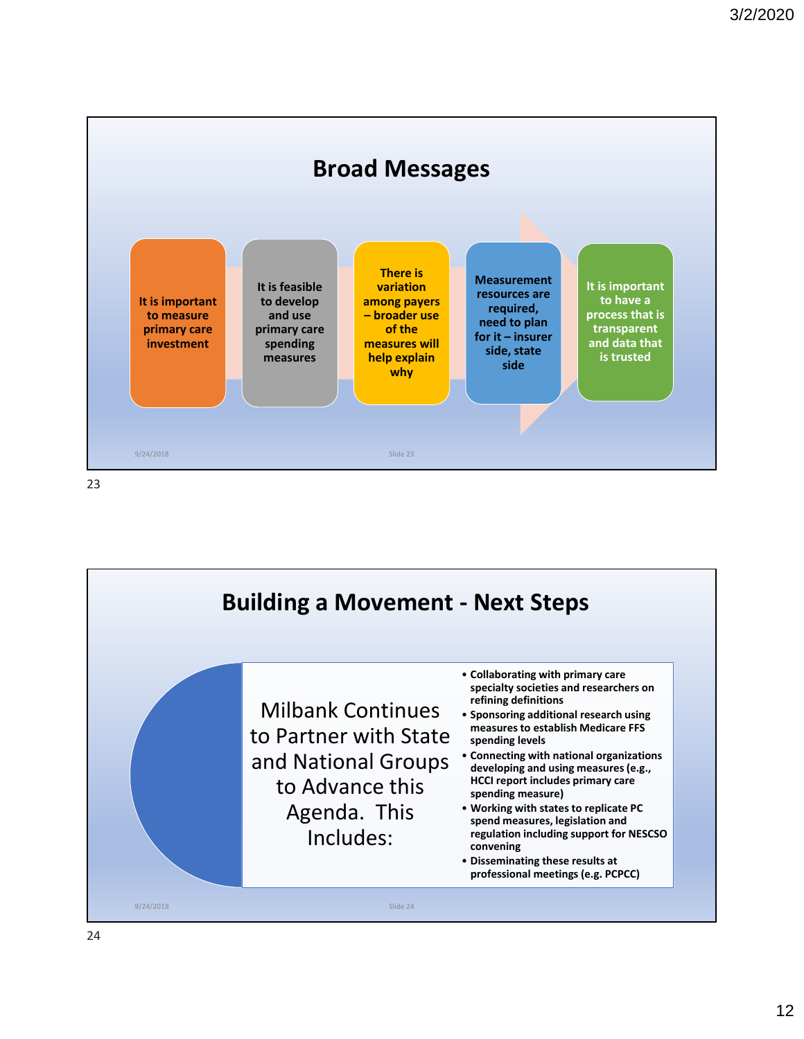

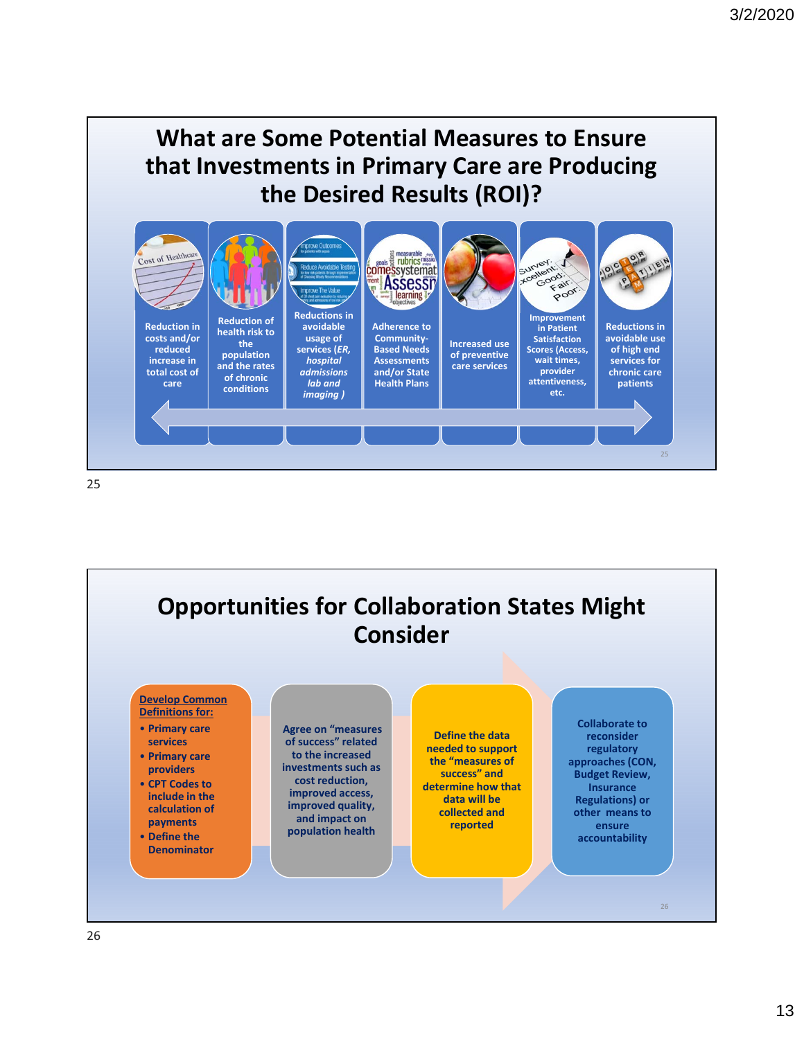# **What are Some Potential Measures to Ensure that Investments in Primary Care are Producing the Desired Results (ROI)?**



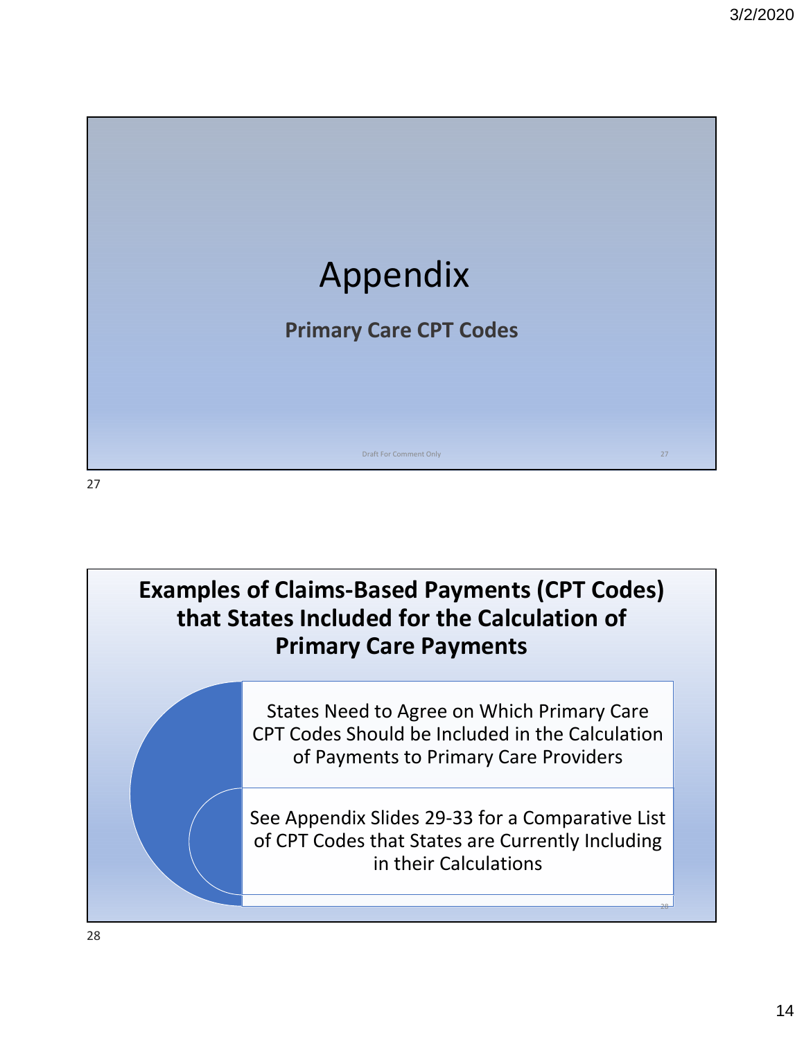

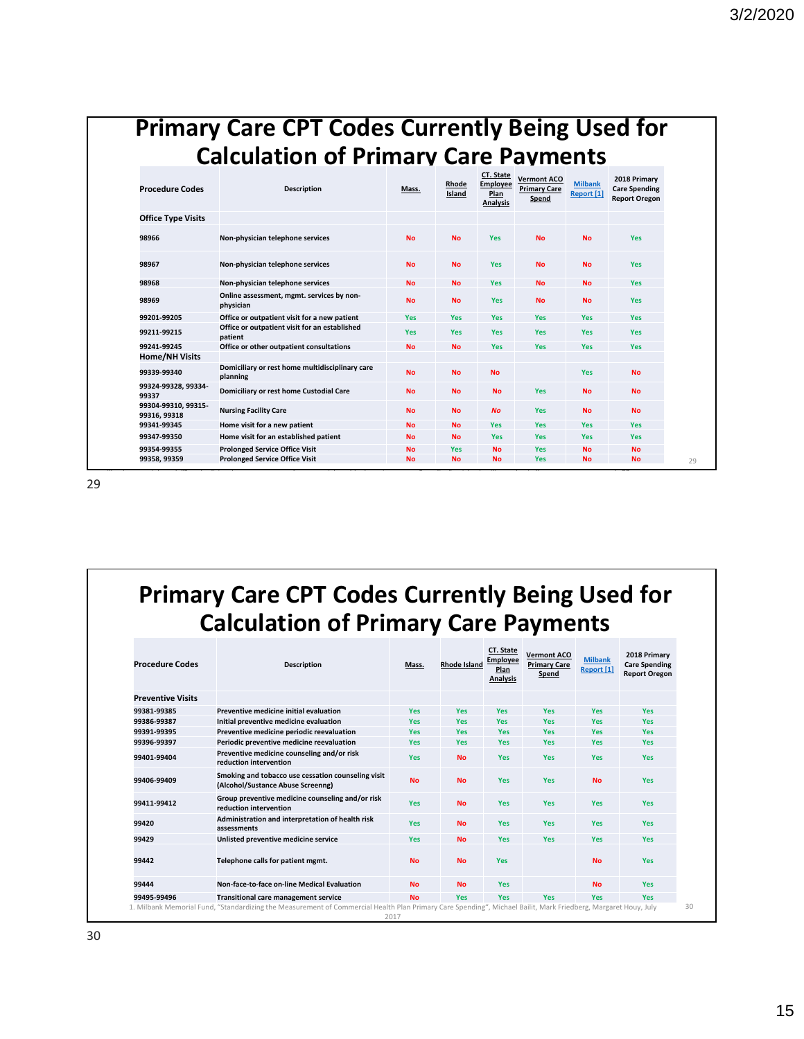# **Primary Care CPT Codes Currently Being Used for Calculation of Primary Care Payments**

| <b>Procedure Codes</b>              | <b>Description</b>                                          | Mass.      | Rhode<br>Island | CT. State<br>Employee<br>Plan<br><b>Analysis</b> | <b>Vermont ACO</b><br><b>Primary Care</b><br>Spend | <b>Milbank</b><br>Report [1] | 2018 Primary<br><b>Care Spending</b><br><b>Report Oregon</b> |
|-------------------------------------|-------------------------------------------------------------|------------|-----------------|--------------------------------------------------|----------------------------------------------------|------------------------------|--------------------------------------------------------------|
| <b>Office Type Visits</b>           |                                                             |            |                 |                                                  |                                                    |                              |                                                              |
| 98966                               | Non-physician telephone services                            | <b>No</b>  | <b>No</b>       | Yes                                              | <b>No</b>                                          | <b>No</b>                    | <b>Yes</b>                                                   |
| 98967                               | Non-physician telephone services                            | <b>No</b>  | <b>No</b>       | Yes                                              | <b>No</b>                                          | <b>No</b>                    | Yes                                                          |
| 98968                               | Non-physician telephone services                            | <b>No</b>  | <b>No</b>       | <b>Yes</b>                                       | <b>No</b>                                          | <b>No</b>                    | Yes                                                          |
| 98969                               | Online assessment, mgmt. services by non-<br>physician      | <b>No</b>  | <b>No</b>       | Yes                                              | <b>No</b>                                          | <b>No</b>                    | Yes                                                          |
| 99201-99205                         | Office or outpatient visit for a new patient                | <b>Yes</b> | Yes             | <b>Yes</b>                                       | <b>Yes</b>                                         | <b>Yes</b>                   | <b>Yes</b>                                                   |
| 99211-99215                         | Office or outpatient visit for an established<br>patient    | <b>Yes</b> | <b>Yes</b>      | <b>Yes</b>                                       | Yes                                                | Yes                          | Yes                                                          |
| 99241-99245                         | Office or other outpatient consultations                    | <b>No</b>  | <b>No</b>       | Yes                                              | <b>Yes</b>                                         | Yes                          | Yes                                                          |
| Home/NH Visits                      |                                                             |            |                 |                                                  |                                                    |                              |                                                              |
| 99339-99340                         | Domiciliary or rest home multidisciplinary care<br>planning | <b>No</b>  | <b>No</b>       | <b>No</b>                                        |                                                    | Yes                          | <b>No</b>                                                    |
| 99324-99328, 99334-<br>99337        | Domiciliary or rest home Custodial Care                     | <b>No</b>  | <b>No</b>       | <b>No</b>                                        | Yes                                                | <b>No</b>                    | <b>No</b>                                                    |
| 99304-99310, 99315-<br>99316, 99318 | <b>Nursing Facility Care</b>                                | <b>No</b>  | <b>No</b>       | <b>No</b>                                        | <b>Yes</b>                                         | <b>No</b>                    | <b>No</b>                                                    |
| 99341-99345                         | Home visit for a new patient                                | <b>No</b>  | <b>No</b>       | Yes                                              | Yes                                                | Yes                          | Yes                                                          |
| 99347-99350                         | Home visit for an established patient                       | <b>No</b>  | <b>No</b>       | <b>Yes</b>                                       | <b>Yes</b>                                         | <b>Yes</b>                   | <b>Yes</b>                                                   |
| 99354-99355                         | <b>Prolonged Service Office Visit</b>                       | <b>No</b>  | <b>Yes</b>      | <b>No</b>                                        | <b>Yes</b>                                         | <b>No</b>                    | <b>No</b>                                                    |
| 99358, 99359                        | <b>Prolonged Service Office Visit</b>                       | <b>No</b>  | <b>No</b>       | <b>No</b>                                        | <b>Yes</b>                                         | <b>No</b>                    | <b>No</b>                                                    |

29

**Primary Care CPT Codes Currently Being Used for Calculation of Primary Care Payments**

| <b>Procedure Codes</b>   | <b>Description</b>                                                                                                                                             | Mass.      | <b>Rhode Island</b> | <b>CT. State</b><br><b>Employee</b><br>Plan<br><b>Analysis</b> | <b>Vermont ACO</b><br><b>Primary Care</b><br>Spend | <b>Milbank</b><br>Report [1] | 2018 Primary<br><b>Care Spending</b><br><b>Report Oregon</b> |
|--------------------------|----------------------------------------------------------------------------------------------------------------------------------------------------------------|------------|---------------------|----------------------------------------------------------------|----------------------------------------------------|------------------------------|--------------------------------------------------------------|
| <b>Preventive Visits</b> |                                                                                                                                                                |            |                     |                                                                |                                                    |                              |                                                              |
| 99381-99385              | Preventive medicine initial evaluation                                                                                                                         | <b>Yes</b> | <b>Yes</b>          | <b>Yes</b>                                                     | <b>Yes</b>                                         | Yes                          | <b>Yes</b>                                                   |
| 99386-99387              | Initial preventive medicine evaluation                                                                                                                         | <b>Yes</b> | <b>Yes</b>          | <b>Yes</b>                                                     | <b>Yes</b>                                         | <b>Yes</b>                   | <b>Yes</b>                                                   |
| 99391-99395              | Preventive medicine periodic reevaluation                                                                                                                      | <b>Yes</b> | <b>Yes</b>          | <b>Yes</b>                                                     | <b>Yes</b>                                         | <b>Yes</b>                   | <b>Yes</b>                                                   |
| 99396-99397              | Periodic preventive medicine reevaluation                                                                                                                      | <b>Yes</b> | Yes                 | <b>Yes</b>                                                     | <b>Yes</b>                                         | <b>Yes</b>                   | <b>Yes</b>                                                   |
| 99401-99404              | Preventive medicine counseling and/or risk<br>reduction intervention                                                                                           | <b>Yes</b> | <b>No</b>           | <b>Yes</b>                                                     | <b>Yes</b>                                         | <b>Yes</b>                   | <b>Yes</b>                                                   |
| 99406-99409              | Smoking and tobacco use cessation counseling visit<br>(Alcohol/Sustance Abuse Screenng)                                                                        | <b>No</b>  | <b>No</b>           | <b>Yes</b>                                                     | <b>Yes</b>                                         | <b>No</b>                    | <b>Yes</b>                                                   |
| 99411-99412              | Group preventive medicine counseling and/or risk<br>reduction intervention                                                                                     | <b>Yes</b> | <b>No</b>           | <b>Yes</b>                                                     | <b>Yes</b>                                         | <b>Yes</b>                   | <b>Yes</b>                                                   |
| 99420                    | Administration and interpretation of health risk<br>assessments                                                                                                | <b>Yes</b> | <b>No</b>           | Yes                                                            | <b>Yes</b>                                         | Yes                          | <b>Yes</b>                                                   |
| 99429                    | Unlisted preventive medicine service                                                                                                                           | <b>Yes</b> | <b>No</b>           | <b>Yes</b>                                                     | <b>Yes</b>                                         | <b>Yes</b>                   | <b>Yes</b>                                                   |
| 99442                    | Telephone calls for patient mgmt.                                                                                                                              | <b>No</b>  | <b>No</b>           | <b>Yes</b>                                                     |                                                    | <b>No</b>                    | <b>Yes</b>                                                   |
| 99444                    | Non-face-to-face on-line Medical Evaluation                                                                                                                    | <b>No</b>  | <b>No</b>           | <b>Yes</b>                                                     |                                                    | <b>No</b>                    | <b>Yes</b>                                                   |
| 99495-99496              | <b>Transitional care management service</b>                                                                                                                    | <b>No</b>  | <b>Yes</b>          | Yes                                                            | Yes                                                | <b>Yes</b>                   | <b>Yes</b>                                                   |
|                          | 1. Milbank Memorial Fund, "Standardizing the Measurement of Commercial Health Plan Primary Care Spending", Michael Bailit, Mark Friedberg, Margaret Houy, July | 2017       |                     |                                                                |                                                    |                              |                                                              |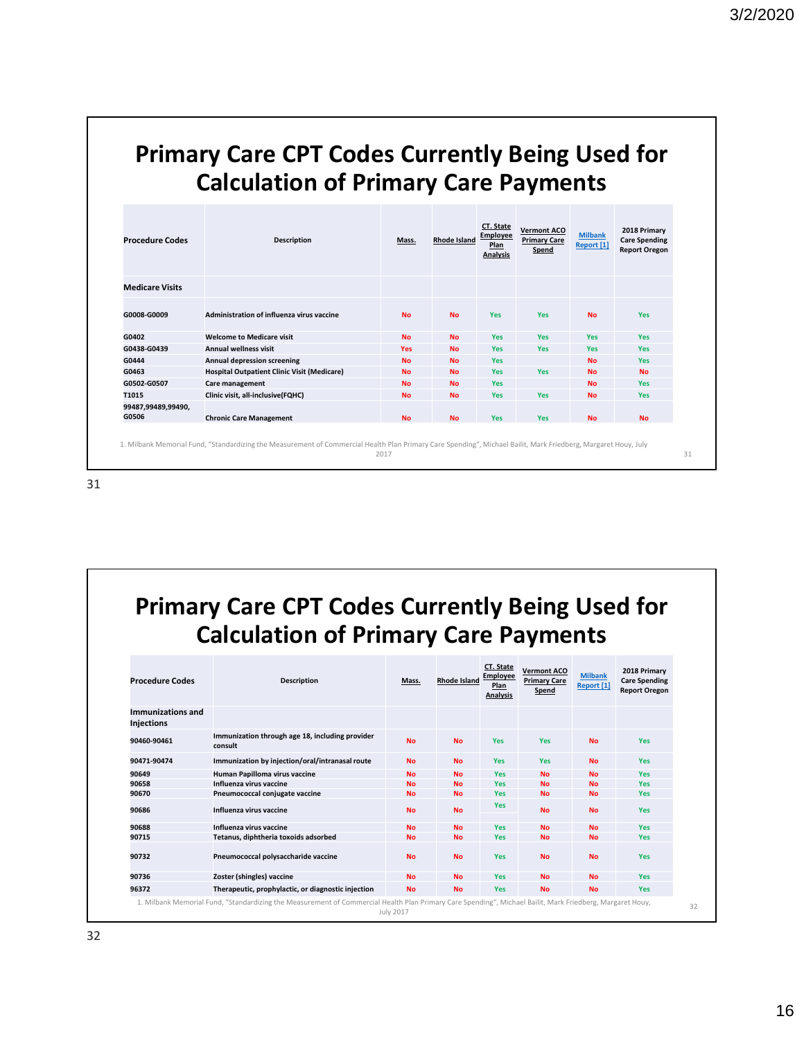### **Primary Care CPT Codes Currently Being Used for Calculation of Primary Care Payments**

| <b>Procedure Codes</b>      | Description                                        | Mass.      | Rhode Island | CT. State<br>Employee<br>Plan<br>Analysis | <b>Vermont ACO</b><br><b>Primary Care</b><br>Spend | <b>Milbank</b><br>Report [1] | 2018 Primary<br><b>Care Spending</b><br><b>Report Oregon</b> |
|-----------------------------|----------------------------------------------------|------------|--------------|-------------------------------------------|----------------------------------------------------|------------------------------|--------------------------------------------------------------|
| <b>Medicare Visits</b>      |                                                    |            |              |                                           |                                                    |                              |                                                              |
| G0008-G0009                 | Administration of influenza virus vaccine          | <b>No</b>  | <b>No</b>    | <b>Yes</b>                                | <b>Yes</b>                                         | <b>No</b>                    | <b>Yes</b>                                                   |
| G0402                       | <b>Welcome to Medicare visit</b>                   | <b>No</b>  | <b>No</b>    | <b>Yes</b>                                | Yes                                                | <b>Yes</b>                   | <b>Yes</b>                                                   |
| G0438-G0439                 | <b>Annual wellness visit</b>                       | <b>Yes</b> | <b>No</b>    | <b>Yes</b>                                | <b>Yes</b>                                         | <b>Yes</b>                   | <b>Yes</b>                                                   |
| G0444                       | <b>Annual depression screening</b>                 | <b>No</b>  | <b>No</b>    | <b>Yes</b>                                |                                                    | <b>No</b>                    | <b>Yes</b>                                                   |
| G0463                       | <b>Hospital Outpatient Clinic Visit (Medicare)</b> | <b>No</b>  | <b>No</b>    | <b>Yes</b>                                | <b>Yes</b>                                         | <b>No</b>                    | <b>No</b>                                                    |
| G0502-G0507                 | Care management                                    | <b>No</b>  | <b>No</b>    | <b>Yes</b>                                |                                                    | <b>No</b>                    | <b>Yes</b>                                                   |
| T1015                       | Clinic visit, all-inclusive(FQHC)                  | <b>No</b>  | <b>No</b>    | <b>Yes</b>                                | Yes                                                | <b>No</b>                    | <b>Yes</b>                                                   |
| 99487,99489,99490,<br>G0506 | <b>Chronic Care Management</b>                     | <b>No</b>  | <b>No</b>    | <b>Yes</b>                                | <b>Yes</b>                                         | <b>No</b>                    | <b>No</b>                                                    |

# **Primary Care CPT Codes Currently Being Used for Calculation of Primary Care Payments**

| <b>Procedure Codes</b>                 | <b>Description</b>                                                                                                                                        | Mass.     | <b>Rhode Island</b> | CT. State<br>Emplovee<br>Plan<br><b>Analysis</b> | <b>Vermont ACO</b><br><b>Primary Care</b><br>Spend | <b>Milbank</b><br>Report [1] | 2018 Primary<br><b>Care Spending</b><br><b>Report Oregon</b> |
|----------------------------------------|-----------------------------------------------------------------------------------------------------------------------------------------------------------|-----------|---------------------|--------------------------------------------------|----------------------------------------------------|------------------------------|--------------------------------------------------------------|
| Immunizations and<br><b>Injections</b> |                                                                                                                                                           |           |                     |                                                  |                                                    |                              |                                                              |
| 90460-90461                            | Immunization through age 18, including provider<br>consult                                                                                                | <b>No</b> | <b>No</b>           | <b>Yes</b>                                       | <b>Yes</b>                                         | <b>No</b>                    | Yes                                                          |
| 90471-90474                            | Immunization by injection/oral/intranasal route                                                                                                           | <b>No</b> | <b>No</b>           | <b>Yes</b>                                       | <b>Yes</b>                                         | <b>No</b>                    | <b>Yes</b>                                                   |
| 90649                                  | Human Papilloma virus vaccine                                                                                                                             | <b>No</b> | <b>No</b>           | <b>Yes</b>                                       | <b>No</b>                                          | <b>No</b>                    | Yes                                                          |
| 90658                                  | Influenza virus vaccine                                                                                                                                   | <b>No</b> | <b>No</b>           | <b>Yes</b>                                       | <b>No</b>                                          | <b>No</b>                    | <b>Yes</b>                                                   |
| 90670                                  | Pneumococcal conjugate vaccine                                                                                                                            | <b>No</b> | <b>No</b>           | <b>Yes</b>                                       | <b>No</b>                                          | <b>No</b>                    | Yes                                                          |
| 90686                                  | Influenza virus vaccine                                                                                                                                   | <b>No</b> | <b>No</b>           | <b>Yes</b>                                       | <b>No</b>                                          | <b>No</b>                    | <b>Yes</b>                                                   |
| 90688                                  | Influenza virus vaccine                                                                                                                                   | <b>No</b> | <b>No</b>           | <b>Yes</b>                                       | <b>No</b>                                          | <b>No</b>                    | <b>Yes</b>                                                   |
| 90715                                  | Tetanus, diphtheria toxoids adsorbed                                                                                                                      | <b>No</b> | <b>No</b>           | <b>Yes</b>                                       | <b>No</b>                                          | <b>No</b>                    | Yes                                                          |
| 90732                                  | Pneumococcal polysaccharide vaccine                                                                                                                       | <b>No</b> | <b>No</b>           | <b>Yes</b>                                       | <b>No</b>                                          | <b>No</b>                    | <b>Yes</b>                                                   |
| 90736                                  | Zoster (shingles) vaccine                                                                                                                                 | <b>No</b> | <b>No</b>           | <b>Yes</b>                                       | <b>No</b>                                          | <b>No</b>                    | <b>Yes</b>                                                   |
| 96372                                  | Therapeutic, prophylactic, or diagnostic injection                                                                                                        | <b>No</b> | <b>No</b>           | <b>Yes</b>                                       | <b>No</b>                                          | <b>No</b>                    | Yes                                                          |
|                                        | 1. Milbank Memorial Fund, "Standardizing the Measurement of Commercial Health Plan Primary Care Spending", Michael Bailit, Mark Friedberg, Margaret Houy, | July 2017 |                     |                                                  |                                                    |                              |                                                              |